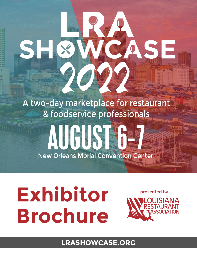# A two-day marketplace for restaurant & foodservice professionals

# AUGUST 6-7 New Orleans Morial Convention Center

# **Exhibitor Brochure**

SI



CASE

**LRASHOWCASE.ORG**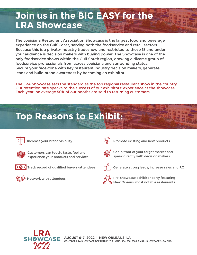## **Join us in the BIG EASY for the LRA Showcase**

The Louisiana Restaurant Association Showcase is the largest food and beverage experience on the Gulf Coast, serving both the foodservice and retail sectors. Because this is a private-industry tradeshow and restricted to those 18 and under, your audience is decision makers with buying power. The Showcase is one of the only foodservice shows within the Gulf South region, drawing a diverse group of foodservice professionals from across Louisiana and surrounding states. Secure your face-time with key restaurant industry decision makers, generate leads and build brand awareness by becoming an exhibitor.

The LRA Showcase sets the standard as the top regional restaurant show in the country. Our retention rate speaks to the success of our exhibitors' experience at the showcase. Each year, on average 50% of our booths are sold to returning customers.

## **Top Reasons to Exhibit:**



Increase your brand visibility



Customers can touch, taste, feel and experience your products and services



 $\left[\cdot\,\Theta\,\cdot\right]$  Track record of qualified buyers/attendees



Network with attendees



Promote existing and new products



Get in front of your target market and speak directly with decision makers



Generate strong leads, increase sales and ROI



Pre-showcase exhibitor party featuring New Orleans' most notable restaurants